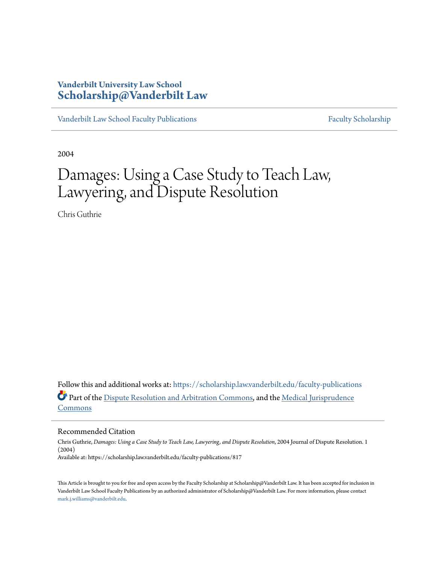### **Vanderbilt University Law School [Scholarship@Vanderbilt Law](https://scholarship.law.vanderbilt.edu?utm_source=scholarship.law.vanderbilt.edu%2Ffaculty-publications%2F817&utm_medium=PDF&utm_campaign=PDFCoverPages)**

[Vanderbilt Law School Faculty Publications](https://scholarship.law.vanderbilt.edu/faculty-publications?utm_source=scholarship.law.vanderbilt.edu%2Ffaculty-publications%2F817&utm_medium=PDF&utm_campaign=PDFCoverPages) [Faculty Scholarship](https://scholarship.law.vanderbilt.edu/faculty-scholarship?utm_source=scholarship.law.vanderbilt.edu%2Ffaculty-publications%2F817&utm_medium=PDF&utm_campaign=PDFCoverPages)

2004

## Damages: Using a Case Study to Teach Law, Lawyering, and Dispute Resolution

Chris Guthrie

Follow this and additional works at: [https://scholarship.law.vanderbilt.edu/faculty-publications](https://scholarship.law.vanderbilt.edu/faculty-publications?utm_source=scholarship.law.vanderbilt.edu%2Ffaculty-publications%2F817&utm_medium=PDF&utm_campaign=PDFCoverPages) Part of the [Dispute Resolution and Arbitration Commons](http://network.bepress.com/hgg/discipline/890?utm_source=scholarship.law.vanderbilt.edu%2Ffaculty-publications%2F817&utm_medium=PDF&utm_campaign=PDFCoverPages), and the [Medical Jurisprudence](http://network.bepress.com/hgg/discipline/860?utm_source=scholarship.law.vanderbilt.edu%2Ffaculty-publications%2F817&utm_medium=PDF&utm_campaign=PDFCoverPages) [Commons](http://network.bepress.com/hgg/discipline/860?utm_source=scholarship.law.vanderbilt.edu%2Ffaculty-publications%2F817&utm_medium=PDF&utm_campaign=PDFCoverPages)

#### Recommended Citation

Chris Guthrie, *Damages: Using a Case Study to Teach Law, Lawyering, and Dispute Resolution*, 2004 Journal of Dispute Resolution. 1 (2004) Available at: https://scholarship.law.vanderbilt.edu/faculty-publications/817

This Article is brought to you for free and open access by the Faculty Scholarship at Scholarship@Vanderbilt Law. It has been accepted for inclusion in Vanderbilt Law School Faculty Publications by an authorized administrator of Scholarship@Vanderbilt Law. For more information, please contact [mark.j.williams@vanderbilt.edu](mailto:mark.j.williams@vanderbilt.edu).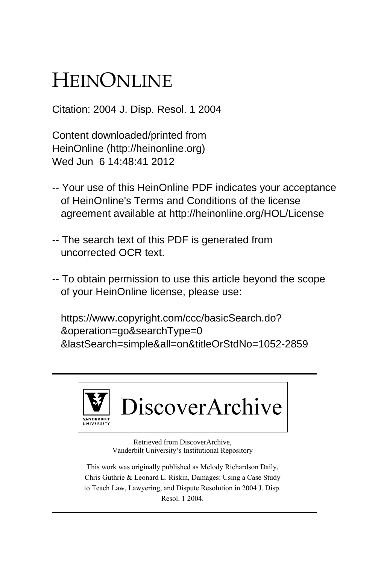# HEINONLINE

Citation: 2004 J. Disp. Resol. 1 2004

Content downloaded/printed from HeinOnline (http://heinonline.org) Wed Jun 6 14:48:41 2012

- -- Your use of this HeinOnline PDF indicates your acceptance of HeinOnline's Terms and Conditions of the license agreement available at http://heinonline.org/HOL/License
- -- The search text of this PDF is generated from uncorrected OCR text.
- -- To obtain permission to use this article beyond the scope of your HeinOnline license, please use:

 https://www.copyright.com/ccc/basicSearch.do? &operation=go&searchType=0 &lastSearch=simple&all=on&titleOrStdNo=1052-2859



Retrieved from DiscoverArchive, Vanderbilt University's Institutional Repository

This work was originally published as Melody Richardson Daily, Chris Guthrie & Leonard L. Riskin, Damages: Using a Case Study to Teach Law, Lawyering, and Dispute Resolution in 2004 J. Disp. Resol. 1 2004.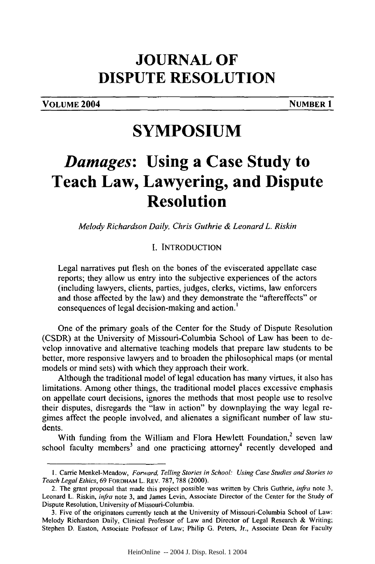### **JOURNAL OF DISPUTE RESOLUTION**

**VOLUME 2004** NUMBER 1

### **SYMPOSIUM**

## *Damages:* **Using a Case Study to Teach Law, Lawyering, and Dispute Resolution**

*Melody Richardson Daily, Chris Guthrie & Leonard L. Riskin*

#### **I. INTRODUCTION**

Legal narratives put flesh on the bones of the eviscerated appellate case reports; they allow us entry into the subjective experiences of the actors (including lawyers, clients, parties, judges, clerks, victims, law enforcers and those affected by the law) and they demonstrate the "aftereffects" or consequences of legal decision-making and action.'

One of the primary goals of the Center for the Study of Dispute Resolution (CSDR) at the University of Missouri-Columbia School of Law has been to develop innovative and alternative teaching models that prepare law students to be better, more responsive lawyers and to broaden the philosophical maps (or mental models or mind sets) with which they approach their work.

Although the traditional model of legal education has many virtues, it also has limitations. Among other things, the traditional model places excessive emphasis on appellate court decisions, ignores the methods that most people use to resolve their disputes, disregards the "law in action" by downplaying the way legal regimes affect the people involved, and alienates a significant number of law students.

With funding from the William and Flora Hewlett Foundation, $2$  seven law school faculty members<sup>3</sup> and one practicing attorney<sup>4</sup> recently developed and

I. Carrie Menkel-Meadow, Forward, Telling Stories in School: Using Case *Studies and Stories* to Teach Legal Ethics, 69 FORDHAM L. REV. 787, 788 (2000).

<sup>2.</sup> The grant proposal that made this project possible was written by Chris Guthrie, *infra* note 3, Leonard L. Riskin, *infra* note 3, and James Levin, Associate Director of the Center for the Study of Dispute Resolution, University of Missouri-Columbia.

<sup>3.</sup> Five of the originators currently teach at the University of Missouri-Columbia School of Law: Melody Richardson Daily, Clinical Professor of Law and Director of Legal Research & Writing; Stephen D. Easton, Associate Professor of Law; Philip G. Peters, Jr., Associate Dean for Faculty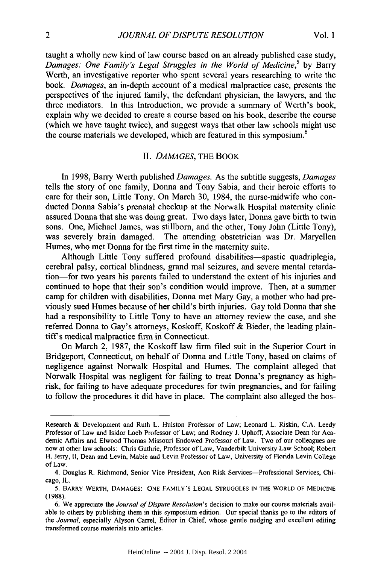taught a wholly new kind of law course based on an already published case study, *Damages: One Family's Legal Struggles in the World of Medicine*,<sup>5</sup> by Barry Werth, an investigative reporter who spent several years researching to write the book. *Damages,* an in-depth account of a medical malpractice case, presents the perspectives of the injured family, the defendant physician, the lawyers, and the three mediators. In this Introduction, we provide a summary of Werth's book, explain why we decided to create a course based on his book, describe the course (which we have taught twice), and suggest ways that other law schools might use the course materials we developed, which are featured in this symposium.<sup>6</sup>

#### II. *DAMAGES,* THE BOOK

In 1998, Barry Werth published *Damages.* As the subtitle suggests, *Damages* tells the story of one family, Donna and Tony Sabia, and their heroic efforts to care for their son, Little Tony. On March 30, 1984, the nurse-midwife who conducted Donna Sabia's prenatal checkup at the Norwalk Hospital maternity clinic assured Donna that she was doing great. Two days later, Donna gave birth to twin sons. One, Michael James, was stillborn, and the other, Tony John (Little Tony), was severely brain damaged. The attending obstetrician was Dr. Maryellen Humes, who met Donna for the first time in the maternity suite.

Although Little Tony suffered profound disabilities-spastic quadriplegia, cerebral palsy, cortical blindness, grand mal seizures, and severe mental retardation-for two years his parents failed to understand the extent of his injuries and continued to hope that their son's condition would improve. Then, at a summer camp for children with disabilities, Donna met Mary Gay, a mother who had previously sued Humes because of her child's birth injuries. Gay told Donna that she had a responsibility to Little Tony to have an attorney review the case, and she referred Donna to Gay's attorneys, Koskoff, Koskoff & Bieder, the leading plaintiffs medical malpractice firm in Connecticut.

On March 2, 1987, the Koskoff law firm filed suit in the Superior Court in Bridgeport, Connecticut, on behalf of Donna and Little Tony, based on claims of negligence against Norwalk Hospital and Humes. The complaint alleged that Norwalk Hospital was negligent for failing to treat Donna's pregnancy as highrisk, for failing to have adequate procedures for twin pregnancies, and for failing to follow the procedures it did have in place. The complaint also alleged the hos-

Research & Development and Ruth L. Hulston Professor of Law; Leonard L. Riskin, C.A. Leedy Professor of Law and Isidor Loeb Professor of Law; and Rodney J. Uphoff, Associate Dean for Academic Affairs and Elwood Thomas Missouri Endowed Professor of Law. Two of our colleagues are now at other law schools: Chris Guthrie, Professor of Law, Vanderbilt University Law School; Robert H. Jerry, **11,** Dean and Levin, Mabie and Levin Professor of Law, University **of** Florida Levin College of Law.

<sup>4.</sup> Douglas R. Richmond, Senior Vice President, Aon Risk Services-Professional Services, Chicago, IL.

<sup>5.</sup> BARRY WERTH, **DAMAGES: ONE** FAMILY'S **LEGAL STRUGGLES IN** THE WORLD OF MEDICINE (1988).

<sup>6.</sup> We appreciate the *Journal of Dispute Resolution's* decision to make our course materials available to others by publishing them in this symposium edition. Our special thanks go to the editors of *the Journal,* especially Alyson Carrel, Editor in Chief, whose gentle nudging and excellent editing transformed course materials into articles.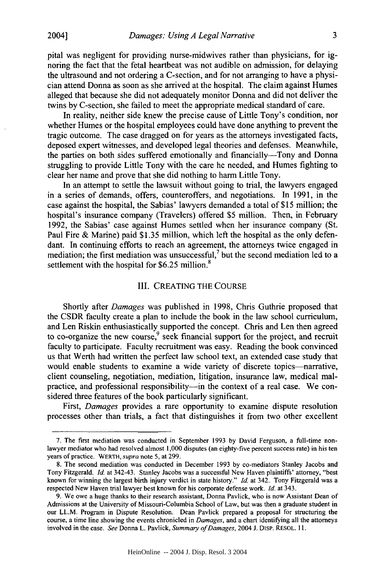3

pital was negligent for providing nurse-midwives rather than physicians, for ignoring the fact that the fetal heartbeat was not audible on admission, for delaying the ultrasound and not ordering a C-section, and for not arranging to have a physician attend Donna as soon as she arrived at the hospital. The claim against Humes alleged that because she did not adequately monitor Donna and did not deliver the twins by C-section, she failed to meet the appropriate medical standard of care.

In reality, neither side knew the precise cause of Little Tony's condition, nor whether Humes or the hospital employees could have done anything to prevent the tragic outcome. The case dragged on for years as the attorneys investigated facts, deposed expert witnesses, and developed legal theories and defenses. Meanwhile, the parties on both sides suffered emotionally and financially-Tony and Donna struggling to provide Little Tony with the care he needed, and Humes fighting to clear her name and prove that she did nothing to harm Little Tony.

In an attempt to settle the lawsuit without going to trial, the lawyers engaged in a series of demands, offers, counteroffers, and negotiations. In 1991, in the case against the hospital, the Sabias' lawyers demanded a total of \$15 million; the hospital's insurance company (Travelers) offered \$5 million. Then, in February 1992, the Sabias' case against Humes settled when her insurance company (St. Paul Fire & Marine) paid \$1.35 million, which left the hospital as the only defendant. In continuing efforts to reach an agreement, the attorneys twice engaged in mediation; the first mediation was unsuccessful, $\frac{7}{1}$  but the second mediation led to a settlement with the hospital for  $$6.25$  million.<sup>8</sup>

#### III. CREATING THE COURSE

Shortly after *Damages* was published in 1998, Chris Guthrie proposed that the CSDR faculty create a plan to include the book in the law school curriculum, and Len Riskin enthusiastically supported the concept. Chris and Len then agreed to co-organize the new course,  $9$  seek financial support for the project, and recruit faculty to participate. Faculty recruitment was easy. Reading the book convinced us that Werth had written the perfect law school text, an extended case study that would enable students to examine a wide variety of discrete topics-narrative, client counseling, negotiation, mediation, litigation, insurance law, medical malpractice, and professional responsibility-in the context of a real case. We considered three features of the book particularly significant.

First, *Damages* provides a rare opportunity to examine dispute resolution processes other than trials, a fact that distinguishes it from two other excellent

<sup>7.</sup> The first mediation was conducted in September 1993 by David Ferguson, a full-time nonlawyer mediator who had resolved almost 1,000 disputes (an eighty-five percent success rate) in his ten years of practice. WERTH, *supra* note 5, at 299.

<sup>8.</sup> The second mediation was conducted in December 1993 by co-mediators Stanley Jacobs and Tony Fitzgerald. *Id.* at 342-43. Stanley Jacobs was a successful New Haven plaintiffs' attorney, "best known for winning the largest birth injury verdict in state history." *Id.* at 342. Tony Fitzgerald was a respected New Haven trial lawyer best known for his corporate defense work. *Id.* at 343.

<sup>9.</sup> We owe a huge thanks to their research assistant, Donna Pavlick, who is now Assistant Dean of Admissions at the University of Missouri-Columbia School of Law, but was then a graduate student in our LL.M. Program in Dispute Resolution. Dean Pavlick prepared a proposal for structuring the course, a time line showing the events chronicled in *Damages,* and a chart identifying all the attorneys involved in the case. *See* Donna L. Pavlick, *Summary of Damages,* 2004 J. DISP. RESOL. **11.**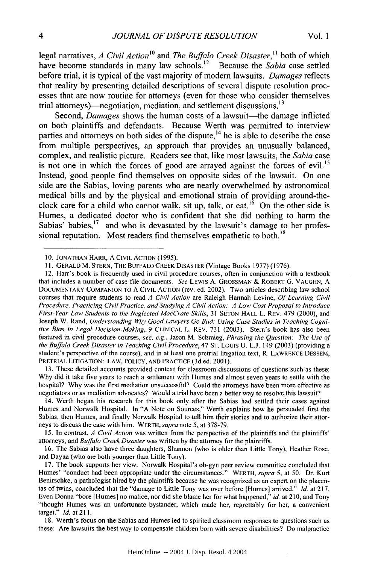legal narratives, *A Civil Action*<sup>10</sup> and *The Buffalo Creek Disaster*,<sup>11</sup> both of which have become standards in many law schools.<sup>12</sup> Because the *Sabia* case settled before trial, it is typical of the vast majority of modem lawsuits. *Damages* reflects that reality **by** presenting detailed descriptions of several dispute resolution processes that are now routine for attorneys (even for those who consider themselves trial attorneys)—negotiation, mediation, and settlement discussions.<sup>13</sup>

Second, *Damages* shows the human costs of a lawsuit-the damage inflicted on both plaintiffs and defendants. Because Werth was permitted to interview parties and attorneys on both sides of the dispute, $^{14}$  he is able to describe the case from multiple perspectives, an approach that provides an unusually balanced, complex, and realistic picture. Readers see that, like most lawsuits, the *Sabia* case is not one in which the forces of good are arrayed against the forces of evil.<sup>15</sup> Instead, good people find themselves on opposite sides of the lawsuit. On one side are the Sabias, loving parents who are nearly overwhelmed by astronomical medical bills and by the physical and emotional strain of providing around-theclock care for a child who cannot walk, sit up, talk, or eat.<sup>16</sup> On the other side is Humes, a dedicated doctor who is confident that she did nothing to harm the Sabias' babies, $17$  and who is devastated by the lawsuit's damage to her professional reputation. Most readers find themselves empathetic to both.<sup>18</sup>

13. These detailed accounts provided context for classroom discussions of questions such as these: Why did it take five years to reach a settlement with Humes and almost seven years to settle with the hospital? Why was the first mediation unsuccessful? Could the attorneys have been more effective as negotiators or as mediation advocates? Would a trial have been a better way to resolve this lawsuit?

14. Werth began his research for this book only after the Sabias had settled their cases against Humes and Norwalk Hospital. In "A Note on Sources," Werth explains how he persuaded first the Sabias, then Humes, and finally Norwalk Hospital to tell him their stories and to authorize their attorneys to discuss the case with him. WERTH, *supra* note **5,** at 378-79.

15. In contrast, *A Civil Action* was written from the perspective of the plaintiffs and the plaintiffs' attorneys, and *Buffalo Creek Disaster* was written by the attorney for the plaintiffs.

16. The Sabias also have three daughters, Shannon (who is older than Little Tony), Heather Rose, and Dayna (who are both younger than Little Tony).

17. The book supports her view. Norwalk Hospital's ob-gyn peer review committee concluded that Humes' "conduct had been appropriate under the circumstances." WERTH, *supra 5,* at 50. Dr. Kurt Benirschke, a pathologist hired by the plaintiffs because he was recognized as an expert on the placentas of twins, concluded that the "damage to Little Tony was over before [Humes] arrived." *Id.* at 217. Even Donna "bore [Humes] no malice, nor did she blame her for what happened," *id* at 210, and Tony "thought Humes was an unfortunate bystander, which made her, regrettably for her, a convenient target." Id. at **211.**

18. Werth's focus on the Sabias and Humes led to spirited classroom responses to questions such as these: Are lawsuits the best way to compensate children born with severe disabilities? Do malpractice

**<sup>10.</sup>** JONATHAN HARR, A CIVIL ACTION (1995).

<sup>11.</sup> GERALD M. STERN, THE BUFFALO CREEK DISASTER (Vintage Books 1977) (1976).

<sup>12.</sup> Harr's book is frequently used in civil procedure courses, often in conjunction with a textbook that includes a number of case file documents. *See* LEWIS A. GROSSMAN **&** ROBERT G. VAUGHN, A DOCUMENTARY COMPANION TO A CIVIL ACTION (rev. ed. 2002). Two articles describing law school courses that require students to read *A Civil Action* are Raleigh Hannah Levine, *Of Learning Civil Procedure, Practicing Civil Practice, and Studying A Civil Action: A Low Cost Proposal to Introduce First- Year Law Students to the Neglected MacCrate Skills,* 31 SETON HALL L. REV. 479 (2000), and Joseph W. Rand, *Understanding Why Good Lawyers Go Bad: Using Case Studies in Teaching Cognitive Bias in Legal Decision-Making,* 9 CLINICAL L. REV. 731 (2003). Stem's book has also been featured in civil procedure courses, *see, e.g.,* Jason M. Schmieg, *Phrasing the Question: The Use of the Buffalo Creek Disaster in Teaching Civil Procedure,* 47 ST. LOUIS U. L.J. 149 (2003) (providing a student's perspective of the course), and in at least one pretrial litigation text, R. LAWRENCE DESSEM, PRETRIAL LITIGATION: LAW, POLICY, AND PRACTICE (3d ed. 2001).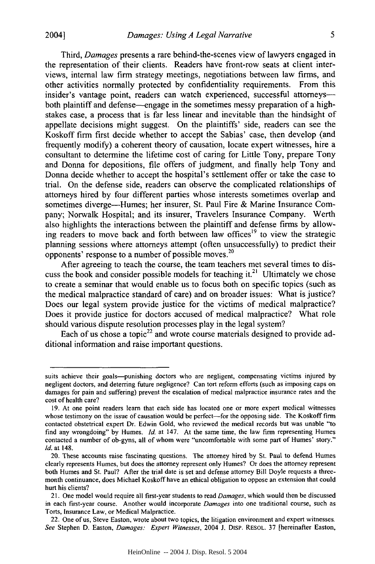Third, *Damages* presents a rare behind-the-scenes view of lawyers engaged in the representation of their clients. Readers have front-row seats at client interviews, internal law firm strategy meetings, negotiations between law firms, and other activities normally protected by confidentiality requirements. From this insider's vantage point, readers can watch experienced, successful attorneysboth plaintiff and defense-engage in the sometimes messy preparation of a highstakes case, a process that is far less linear and inevitable than the hindsight of appellate decisions might suggest. On the plaintiffs' side, readers can see the Koskoff firm first decide whether to accept the Sabias' case, then develop (and frequently modify) a coherent theory of causation, locate expert witnesses, hire a consultant to determine the lifetime cost of caring for Little Tony, prepare Tony and Donna for depositions, file offers of judgment, and finally help Tony and Donna decide whether to accept the hospital's settlement offer or take the case to trial. On the defense side, readers can observe the complicated relationships of attorneys hired by four different parties whose interests sometimes overlap and sometimes diverge-Humes; her insurer, St. Paul Fire & Marine Insurance Company; Norwalk Hospital; and its insurer, Travelers Insurance Company. Werth also highlights the interactions between the plaintiff and defense firms by allowing readers to move back and forth between law offices<sup>19</sup> to view the strategic planning sessions where attorneys attempt (often unsuccessfully) to predict their opponents' response to a number of possible moves. $20$ 

After agreeing to teach the course, the team teachers met several times to discuss the book and consider possible models for teaching it.<sup>21</sup> Ultimately we chose to create a seminar that would enable us to focus both on specific topics (such as the medical malpractice standard of care) and on broader issues: What is justice? Does our legal system provide justice for the victims of medical malpractice? Does it provide justice for doctors accused of medical malpractice? What role should various dispute resolution processes play in the legal system?

Each of us chose a topic<sup>22</sup> and wrote course materials designed to provide additional information and raise important questions.

suits achieve their goals-punishing doctors who are negligent, compensating victims injured by negligent doctors, and deterring future negligence? Can tort reform efforts (such as imposing caps on damages for pain and suffering) prevent the escalation of medical malpractice insurance rates and the cost of health care?

<sup>19.</sup> At one point readers learn that each side has located one or more expert medical witnesses whose testimony on the issue of causation would be perfect-for the opposing side. The Koskoff firm contacted obstetrical expert Dr. Edwin Gold, who reviewed the medical records but was unable "to find any wrongdoing" by Humes. *Id.* at 147. At the same time, the law firm representing Humes contacted a number of ob-gyns, all of whom were "uncomfortable with some part of Humes' story." *Id.* at 148.

<sup>20.</sup> These accounts raise fascinating questions. The attorney hired by St. Paul to defend Humes clearly represents Humes, but does the attorney represent only Humes? Or does the attorney represent both Humes and St. Paul? After the trial date is set and defense attorney Bill Doyle requests a threemonth continuance, does Michael Koskoff have an ethical obligation to oppose an extension that could hurt his clients?

<sup>21.</sup> One model would require all first-year students to read Damages, which would then be discussed in each first-year course. Another would incorporate Damages into one traditional course, such as Torts, Insurance Law, or Medical Malpractice.

<sup>22.</sup> One of us, Steve Easton, wrote about two topics, the litigation environment and expert witnesses. *See* Stephen D. Easton, *Damages: Expert* Witnesses, 2004 J. DIsP. RESOL. 37 [hereinafter Easton,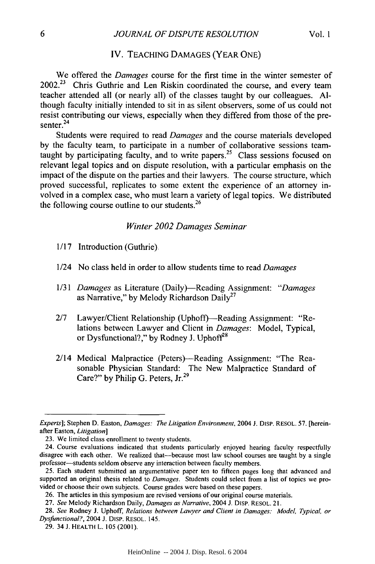#### IV. TEACHING DAMAGES (YEAR ONE)

We offered the *Damages* course for the first time in the winter semester of 2002.<sup>23</sup> Chris Guthrie and Len Riskin coordinated the course, and every team teacher attended all (or nearly all) of the classes taught by our colleagues. Although faculty initially intended to sit in as silent observers, some of us could not resist contributing our views, especially when they differed from those of the presenter. $24$ 

Students were required to read *Damages* and the course materials developed by the faculty team, to participate in a number of collaborative sessions teamtaught by participating faculty, and to write papers.<sup>25</sup> Class sessions focused on relevant legal topics and on dispute resolution, with a particular emphasis on the impact of the dispute on the parties and their lawyers. The course structure, which proved successful, replicates to some extent the experience of an attorney involved in a complex case, who must learn a variety of legal topics. We distributed the following course outline to our students. $26$ 

#### *Winter 2002 Damages Seminar*

- 1/17 Introduction (Guthrie)
- 1/24 No class held in order to allow students time to read *Damages*
- 1/31 *Damages* as Literature (Daily)-Reading Assignment: *"Damages* as Narrative," by Melody Richardson Daily<sup>27</sup>
- 2/7 Lawyer/Client Relationship (Uphoff)—Reading Assignment: "Relations between Lawyer and Client in *Damages:* Model, Typical, or Dysfunctional?," by Rodney J. Uphoff<sup>28</sup>
- 2/14 Medical Malpractice (Peters)—Reading Assignment: "The Reasonable Physician Standard: The New Malpractice Standard of Care?" by Philip G. Peters, Jr.<sup>29</sup>

*Experts];* Stephen D. Easton, *Damages: The Litigation Environment,* 2004 **J.** DisP. RESOL. 57. [hereinafter Easton, *Litigation]*

<sup>23.</sup> We limited class enrollment to twenty students.

<sup>24.</sup> Course evaluations indicated that students particularly enjoyed hearing faculty respectfully disagree with each other. We realized that-because most law school courses are taught by a single professor-students seldom observe any interaction between faculty members.

<sup>25.</sup> Each student submitted an argumentative paper ten to fifteen pages long that advanced and supported an original thesis related to *Damages.* Students could select from a list of topics we provided or choose their own subjects. Course grades were based on these papers.

<sup>26.</sup> The articles in this symposium are revised versions of our original course materials.

<sup>27.</sup> *See* Melody Richardson Daily, *Damages as Narrative,* 2004 **J.** DiSP. RESOL. 21.

<sup>28.</sup> *See* Rodney **J.** Uphoff, *Relations between Lawyer and Client in Damages: Model, Typical, or Dysfunctional?,* 2004 J. DiSp. RESOL. 145.

<sup>29. 34</sup> **J.** HEALTH L. 105 (2001).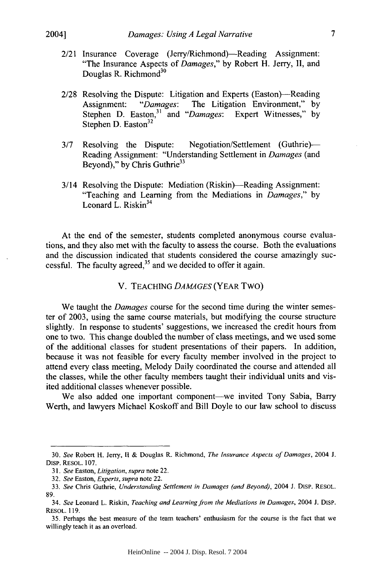- 2/21 Insurance Coverage (Jerry/Richmond)—Reading Assignment: "The Insurance Aspects of *Damages,"* by Robert H. Jerry, II, and Douglas R. Richmond<sup>30</sup>
- 2/28 Resolving the Dispute: Litigation and Experts (Easton)—Reading Assignment: *"Damages:* The Litigation Environment," by Stephen D. Easton,<sup>31</sup> and "Damages: Expert Witnesses," by Stephen D. Easton<sup>32</sup>
- 3/7 Resolving the Dispute: Negotiation/Settlement (Guthrie)-Reading Assignment: "Understanding Settlement in *Damages* (and Beyond)," by Chris Guthrie<sup>33</sup>
- 3/14 Resolving the Dispute: Mediation (Riskin)—Reading Assignment: "Teaching and Learning from the Mediations in *Damages,"* by Leonard L. Riskin<sup>34</sup>

At the end of the semester, students completed anonymous course evaluations, and they also met with the faculty to assess the course. Both the evaluations and the discussion indicated that students considered the course amazingly successful. The faculty agreed, $35$  and we decided to offer it again.

V. TEACHING *DAMAGES* (YEAR Two)

We taught the *Damages* course for the second time during the winter semester of 2003, using the same course materials, but modifying the course structure slightly. In response to students' suggestions, we increased the credit hours from one to two. This change doubled the number of class meetings, and we used some of the additional classes for student presentations of their papers. In addition, because it was not feasible for every faculty member involved in the project to attend every class meeting, Melody Daily coordinated the course and attended all the classes, while the other faculty members taught their individual units and visited additional classes whenever possible.

We also added one important component—we invited Tony Sabia, Barry Werth, and lawyers Michael Koskoff and Bill Doyle to our law school to discuss

<sup>30.</sup> *See* Robert H. Jerry, 11 & Douglas R. Richmond, *The Insurance Aspects of Damages,* 2004 J. Disp. RESOL. 107.

*<sup>31.</sup> See* Easton, Litigation, supra note 22.

*<sup>32.</sup> See* Easton, *Experts, supra* note 22.

<sup>33.</sup> *See* Chris Guthrie, *Understanding Settlement in Damages (and Beyond),* 2004 J. DisP. RESOL. 89.

<sup>34.</sup> *See* Leonard L. Riskin, *Teaching and Learning from the Mediations in Damages,* 2004 **J.** DISP. RESOL. 119.

<sup>35.</sup> Perhaps the best measure of the team teachers' enthusiasm for the course is the fact that we willingly teach it as an overload.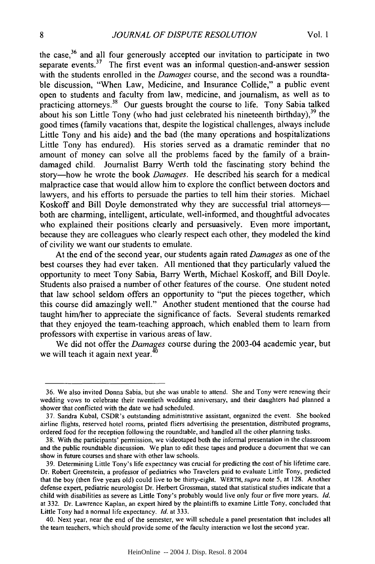the case,<sup>36</sup> and all four generously accepted our invitation to participate in two separate events.<sup>37</sup> The first event was an informal question-and-answer session with the students enrolled in the *Damages* course, and the second was a roundtable discussion, "When Law, Medicine, and Insurance Collide," a public event open to students and faculty from law, medicine, and journalism, as well as to practicing attorneys.<sup>38</sup> Our guests brought the course to life. Tony Sabia talked about his son Little Tony (who had just celebrated his nineteenth birthday), $39$  the good times (family vacations that, despite the logistical challenges, always include Little Tony and his aide) and the bad (the many operations and hospitalizations Little Tony has endured). His stories served as a dramatic reminder that no amount of money can solve all the problems faced by the family of a braindamaged child. Journalist Barry Werth told the fascinating story behind the story-how he wrote the book *Damages.* He described his search for a medical malpractice case that would allow him to explore the conflict between doctors and lawyers, and his efforts to persuade the parties to tell him their stories. Michael Koskoff and Bill Doyle demonstrated why they are successful trial attorneys both are charming, intelligent, articulate, well-informed, and thoughtful advocates who explained their positions clearly and persuasively. Even more important, because they are colleagues who clearly respect each other, they modeled the kind of civility we want our students to emulate.

At the end of the second year, our students again rated *Damages* as one of the best courses they had ever taken. All mentioned that they particularly valued the opportunity to meet Tony Sabia, Barry Werth, Michael Koskoff, and Bill Doyle. Students also praised a number of other features of the course. One student noted that law school seldom offers an opportunity to "put the pieces together, which this course did amazingly well." Another student mentioned that the course had taught him/her to appreciate the significance of facts. Several students remarked that they enjoyed the team-teaching approach, which enabled them to learn from professors with expertise in various areas of law.

We did not offer the *Damages* course during the 2003-04 academic year, but we will teach it again next year.<sup>40</sup>

<sup>36.</sup> We also invited Donna Sabia, but she was unable to attend. She and Tony were renewing their wedding vows to celebrate their twentieth wedding anniversary, and their daughters had planned a shower that conflicted with the date we had scheduled.

<sup>37.</sup> Sandra Kubal, CSDR's outstanding administrative assistant, organized the event. She booked airline flights, reserved hotel rooms, printed fliers advertising the presentation, distributed programs, ordered food for the reception following the roundtable, and handled all the other planning tasks.

<sup>38.</sup> With the participants' permission, we videotaped both the informal presentation in the classroom and the public roundtable discussion. We plan to edit these tapes and produce a document that we can show in future courses and share with other law schools.

<sup>39.</sup> Determining Little Tony's life expectancy was crucial for predicting the cost of his lifetime care. Dr. Robert Greenstein, a professor of pediatrics who Travelers paid to evaluate Little Tony, predicted that the boy (then five years old) could live to be thirty-eight. WERTH, supra note 5, at 128. Another defense expert, pediatric neurologist Dr. Herbert Grossman, stated that statistical studies indicate that a child with disabilities as severe as Little Tony's probably would live only four or five more years. *Id.* at 332. Dr. Lawrence Kaplan, an expert hired by the plaintiffs to examine Little Tony, concluded that Little Tony had a normal life expectancy. *Id.* at 333.

<sup>40.</sup> Next year, near the end of the semester, we will schedule a panel presentation that includes all the team teachers, which should provide some of the faculty interaction we lost the second year.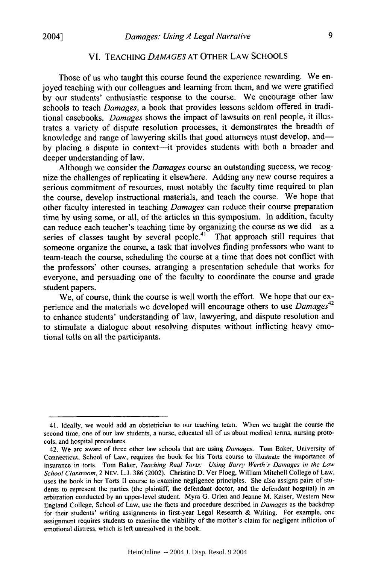#### VI. TEACHING *DAMAGES* AT OTHER LAW SCHOOLS

Those of us who taught this course found the experience rewarding. We enjoyed teaching with our colleagues and learning from them, and we were gratified by our students' enthusiastic response to the course. We encourage other law schools to teach *Damages,* a book that provides lessons seldom offered in traditional casebooks. *Damages* shows the impact of lawsuits on real people, it illustrates a variety of dispute resolution processes, it demonstrates the breadth of knowledge and range of lawyering skills that good attorneys must develop, andby placing a dispute in context-it provides students with both a broader and deeper understanding of law.

Although we consider the *Damages* course an outstanding success, we recognize the challenges of replicating it elsewhere. Adding any new course requires a serious commitment of resources, most notably the faculty time required to plan the course, develop instructional materials, and teach the course. We hope that other faculty interested in teaching *Damages* can reduce their course preparation time by using some, or all, of the articles in this symposium. In addition, faculty can reduce each teacher's teaching time by organizing the course as we did-as a series of classes taught by several people.<sup>41</sup> That approach still requires that someone organize the course, a task that involves finding professors who want to team-teach the course, scheduling the course at a time that does not conflict with the professors' other courses, arranging a presentation schedule that works for everyone, and persuading one of the faculty to coordinate the course and grade student papers.

We, of course, think the course is well worth the effort. We hope that our ex-<sup>42</sup> perience and the materials we developed will encourage others to use *Damages* to enhance students' understanding of law, lawyering, and dispute resolution and to stimulate a dialogue about resolving disputes without inflicting heavy emotional tolls on all the participants.

<sup>41.</sup> Ideally, we would add an obstetrician to our teaching team. When we taught the course the second time, one of our law students, a nurse, educated all of us about medical terms, nursing protocols, and hospital procedures.

<sup>42.</sup> We are aware of three other law schools that are using Damages. Tom Baker, University of Connecticut, School of Law, requires the book for his Torts course to illustrate the importance of insurance in torts. Tom Baker, Teaching Real *Torts: Using Barry Werth's Damages in the Law School Classroom,* 2 NEV. L.J. 386 (2002). Christine D. Ver Ploeg, William Mitchell College of Law, uses the book in her Torts **11** course to examine negligence principles. She also assigns pairs of students to represent the parties (the plaintiff, the defendant doctor, and the defendant hospital) in an arbitration conducted by an upper-level student. Myra G. Orlen and Jeanne M. Kaiser, Western New England College, School of Law, use the facts and procedure described in *Damages* as the backdrop for their students' writing assignments in first-year Legal Research & Writing. For example, one assignment requires students to examine the viability of the mother's claim for negligent infliction of emotional distress, which is left unresolved in the book.